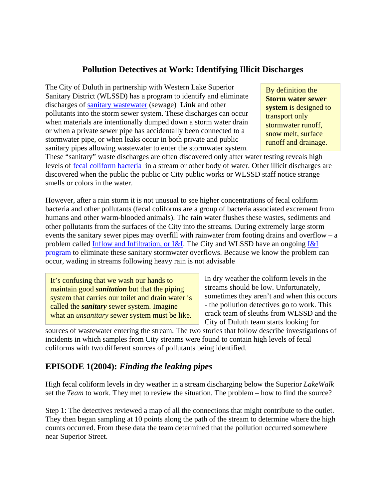## **Pollution Detectives at Work: Identifying Illicit Discharges**

The City of Duluth in partnership with Western Lake Superior Sanitary District (WLSSD) has a program to identify and eliminate discharges of sanitary wastewater (sewage) **Link** and other pollutants into the storm sewer system. These discharges can occur when materials are intentionally dumped down a storm water drain or when a private sewer pipe has accidentally been connected to a stormwater pipe, or when leaks occur in both private and public sanitary pipes allowing wastewater to enter the stormwater system.

By definition the **Storm water sewer system** is designed to transport only stormwater runoff, snow melt, surface runoff and drainage.

These "sanitary" waste discharges are often discovered only after water testing reveals high levels of fecal coliform bacteria in a stream or other body of water. Other illicit discharges are discovered when the public the public or City public works or WLSSD staff notice strange smells or colors in the water.

However, after a rain storm it is not unusual to see higher concentrations of fecal coliform bacteria and other pollutants (fecal coliforms are a group of bacteria associated excrement from humans and other warm-blooded animals). The rain water flushes these wastes, sediments and other pollutants from the surfaces of the City into the streams. During extremely large storm events the sanitary sewer pipes may overfill with rainwater from footing drains and overflow – a problem called Inflow and Infiltration, or I&I. The City and WLSSD have an ongoing I&I program to eliminate these sanitary stormwater overflows. Because we know the problem can occur, wading in streams following heavy rain is not advisable

It's confusing that we wash our hands to maintain good *sanitation* but that the piping system that carries our toilet and drain water is called the *sanitary* sewer system. Imagine what an *unsanitary* sewer system must be like. In dry weather the coliform levels in the streams should be low. Unfortunately, sometimes they aren't and when this occurs - the pollution detectives go to work. This crack team of sleuths from WLSSD and the City of Duluth team starts looking for

sources of wastewater entering the stream. The two stories that follow describe investigations of incidents in which samples from City streams were found to contain high levels of fecal coliforms with two different sources of pollutants being identified.

## **EPISODE 1(2004):** *Finding the leaking pipes*

High fecal coliform levels in dry weather in a stream discharging below the Superior *LakeWalk* set the *Team* to work. They met to review the situation. The problem – how to find the source?

Step 1: The detectives reviewed a map of all the connections that might contribute to the outlet. They then began sampling at 10 points along the path of the stream to determine where the high counts occurred. From these data the team determined that the pollution occurred somewhere near Superior Street.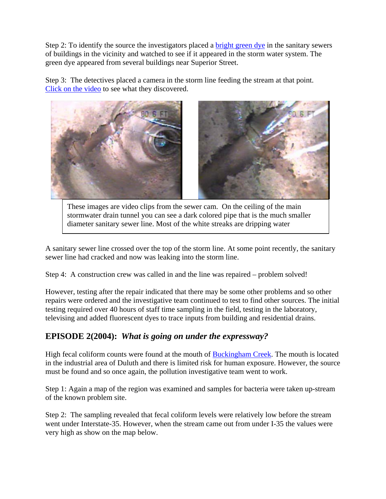Step 2: To identify the source the investigators placed a bright green dye in the sanitary sewers of buildings in the vicinity and watched to see if it appeared in the storm water system. The green dye appeared from several buildings near Superior Street.

Step 3: The detectives placed a camera in the storm line feeding the stream at that point. Click on the video to see what they discovered.



These images are video clips from the sewer cam. On the ceiling of the main stormwater drain tunnel you can see a dark colored pipe that is the much smaller diameter sanitary sewer line. Most of the white streaks are dripping water

A sanitary sewer line crossed over the top of the storm line. At some point recently, the sanitary sewer line had cracked and now was leaking into the storm line.

Step 4: A construction crew was called in and the line was repaired – problem solved!

However, testing after the repair indicated that there may be some other problems and so other repairs were ordered and the investigative team continued to test to find other sources. The initial testing required over 40 hours of staff time sampling in the field, testing in the laboratory, televising and added fluorescent dyes to trace inputs from building and residential drains.

## **EPISODE 2(2004):** *What is going on under the expressway?*

High fecal coliform counts were found at the mouth of Buckingham Creek. The mouth is located in the industrial area of Duluth and there is limited risk for human exposure. However, the source must be found and so once again, the pollution investigative team went to work.

Step 1: Again a map of the region was examined and samples for bacteria were taken up-stream of the known problem site.

Step 2: The sampling revealed that fecal coliform levels were relatively low before the stream went under Interstate-35. However, when the stream came out from under I-35 the values were very high as show on the map below.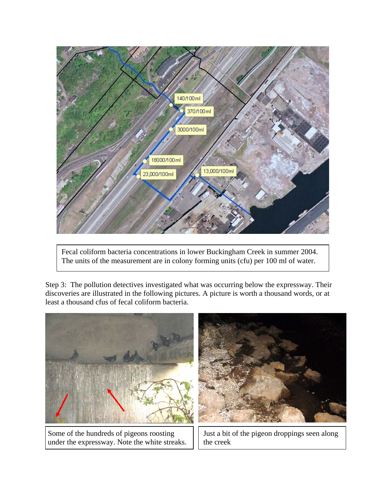

Fecal coliform bacteria concentrations in lower Buckingham Creek in summer 2004. The units of the measurement are in colony forming units (cfu) per 100 ml of water.

Step 3: The pollution detectives investigated what was occurring below the expressway. Their discoveries are illustrated in the following pictures. A picture is worth a thousand words, or at least a thousand cfus of fecal coliform bacteria.



Some of the hundreds of pigeons roosting under the expressway. Note the white streaks.

Just a bit of the pigeon droppings seen along the creek